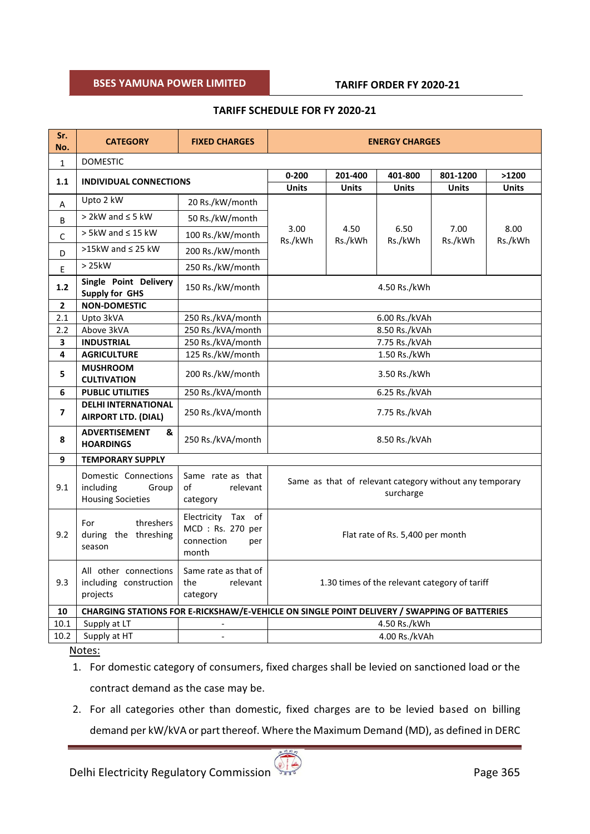# **BSES WARRANTS CONDITIONS**

# **TARIFF SCHEDULE FOR FY 2020-21**

| Sr.<br>No.     | <b>CATEGORY</b>                                                                             | <b>FIXED CHARGES</b>                                                 | <b>ENERGY CHARGES</b>                                                |                 |                 |                 |                 |  |
|----------------|---------------------------------------------------------------------------------------------|----------------------------------------------------------------------|----------------------------------------------------------------------|-----------------|-----------------|-----------------|-----------------|--|
| $\mathbf{1}$   | <b>DOMESTIC</b>                                                                             |                                                                      |                                                                      |                 |                 |                 |                 |  |
| 1.1            | <b>INDIVIDUAL CONNECTIONS</b>                                                               |                                                                      | $0 - 200$                                                            | 201-400         | 401-800         | 801-1200        | >1200           |  |
|                |                                                                                             |                                                                      | <b>Units</b>                                                         | <b>Units</b>    | <b>Units</b>    | <b>Units</b>    | <b>Units</b>    |  |
| A              | Upto 2 kW                                                                                   | 20 Rs./kW/month                                                      |                                                                      |                 |                 |                 |                 |  |
| B              | $>$ 2kW and $\leq$ 5 kW                                                                     | 50 Rs./kW/month                                                      |                                                                      |                 |                 |                 |                 |  |
| $\mathsf{C}$   | $> 5$ kW and $\leq 15$ kW                                                                   | 100 Rs./kW/month                                                     | 3.00<br>Rs./kWh                                                      | 4.50<br>Rs./kWh | 6.50<br>Rs./kWh | 7.00<br>Rs./kWh | 8.00<br>Rs./kWh |  |
| D              | >15kW and $\leq$ 25 kW                                                                      | 200 Rs./kW/month                                                     |                                                                      |                 |                 |                 |                 |  |
| E              | >25kW                                                                                       | 250 Rs./kW/month                                                     |                                                                      |                 |                 |                 |                 |  |
| 1.2            | Single Point Delivery<br><b>Supply for GHS</b>                                              | 150 Rs./kW/month                                                     | 4.50 Rs./kWh                                                         |                 |                 |                 |                 |  |
| $\overline{2}$ | <b>NON-DOMESTIC</b>                                                                         |                                                                      |                                                                      |                 |                 |                 |                 |  |
| 2.1            | Upto 3kVA                                                                                   | 250 Rs./kVA/month                                                    | 6.00 Rs./kVAh                                                        |                 |                 |                 |                 |  |
| 2.2            | Above 3kVA                                                                                  | 250 Rs./kVA/month                                                    | 8.50 Rs./kVAh                                                        |                 |                 |                 |                 |  |
| 3              | <b>INDUSTRIAL</b>                                                                           | 250 Rs./kVA/month                                                    | 7.75 Rs./kVAh                                                        |                 |                 |                 |                 |  |
| 4              | <b>AGRICULTURE</b>                                                                          | 125 Rs./kW/month                                                     | 1.50 Rs./kWh                                                         |                 |                 |                 |                 |  |
| 5              | <b>MUSHROOM</b><br><b>CULTIVATION</b>                                                       | 200 Rs./kW/month                                                     | 3.50 Rs./kWh                                                         |                 |                 |                 |                 |  |
| 6              | <b>PUBLIC UTILITIES</b>                                                                     | 250 Rs./kVA/month                                                    | 6.25 Rs./kVAh                                                        |                 |                 |                 |                 |  |
| 7              | <b>DELHI INTERNATIONAL</b><br>AIRPORT LTD. (DIAL)                                           | 250 Rs./kVA/month                                                    | 7.75 Rs./kVAh                                                        |                 |                 |                 |                 |  |
| 8              | <b>ADVERTISEMENT</b><br>&<br><b>HOARDINGS</b>                                               | 250 Rs./kVA/month                                                    | 8.50 Rs./kVAh                                                        |                 |                 |                 |                 |  |
| 9              | <b>TEMPORARY SUPPLY</b>                                                                     |                                                                      |                                                                      |                 |                 |                 |                 |  |
| 9.1            | Domestic Connections<br>including<br>Group<br><b>Housing Societies</b>                      | Same rate as that<br>of<br>relevant<br>category                      | Same as that of relevant category without any temporary<br>surcharge |                 |                 |                 |                 |  |
| 9.2            | For<br>threshers<br>during the threshing<br>season                                          | Electricity Tax of<br>MCD: Rs. 270 per<br>connection<br>per<br>month | Flat rate of Rs. 5,400 per month                                     |                 |                 |                 |                 |  |
| 9.3            | All other connections<br>including construction<br>projects                                 | Same rate as that of<br>the<br>relevant<br>category                  | 1.30 times of the relevant category of tariff                        |                 |                 |                 |                 |  |
| 10             | CHARGING STATIONS FOR E-RICKSHAW/E-VEHICLE ON SINGLE POINT DELIVERY / SWAPPING OF BATTERIES |                                                                      |                                                                      |                 |                 |                 |                 |  |
| 10.1           | Supply at LT                                                                                |                                                                      | 4.50 Rs./kWh                                                         |                 |                 |                 |                 |  |
| 10.2           | Supply at HT                                                                                | $\overline{\phantom{a}}$                                             |                                                                      | 4.00 Rs./kVAh   |                 |                 |                 |  |

#### Notes:

- 1. For domestic category of consumers, fixed charges shall be levied on sanctioned load or the contract demand as the case may be.
- 2. For all categories other than domestic, fixed charges are to be levied based on billing demand per kW/kVA or part thereof. Where the Maximum Demand (MD), as defined in DERC

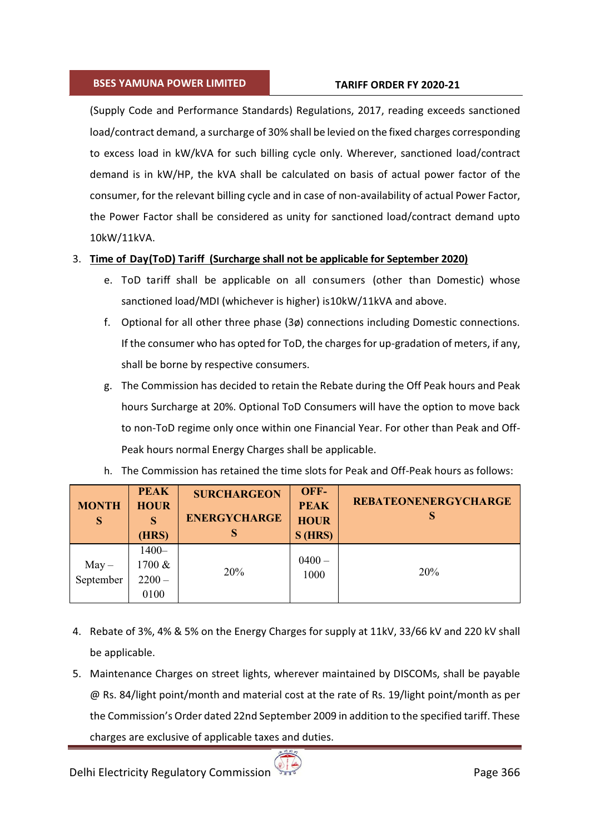# **BSES WARRANTS CONDITIONS**

(Supply Code and Performance Standards) Regulations, 2017, reading exceeds sanctioned load/contract demand, a surcharge of 30% shall be levied on the fixed charges corresponding to excess load in kW/kVA for such billing cycle only. Wherever, sanctioned load/contract demand is in kW/HP, the kVA shall be calculated on basis of actual power factor of the consumer, for the relevant billing cycle and in case of non-availability of actual Power Factor, the Power Factor shall be considered as unity for sanctioned load/contract demand upto 10kW/11kVA.

# 3. **Time of Day(ToD) Tariff (Surcharge shall not be applicable for September 2020)**

- e. ToD tariff shall be applicable on all consumers (other than Domestic) whose sanctioned load/MDI (whichever is higher) is10kW/11kVA and above.
- f. Optional for all other three phase (3ø) connections including Domestic connections. If the consumer who has opted for ToD, the charges for up-gradation of meters, if any, shall be borne by respective consumers.
- g. The Commission has decided to retain the Rebate during the Off Peak hours and Peak hours Surcharge at 20%. Optional ToD Consumers will have the option to move back to non-ToD regime only once within one Financial Year. For other than Peak and Off-Peak hours normal Energy Charges shall be applicable.

| <b>MONTH</b><br>S  | <b>PEAK</b><br><b>HOUR</b><br>S<br>(HRS) | <b>SURCHARGEON</b><br><b>ENERGYCHARGE</b><br>S | OFF-<br><b>PEAK</b><br><b>HOUR</b><br>$S$ (HRS) | <b>REBATEONENERGYCHARGE</b><br>S |
|--------------------|------------------------------------------|------------------------------------------------|-------------------------------------------------|----------------------------------|
| May –<br>September | $1400 -$<br>1700 &<br>$2200 -$<br>0100   | 20%                                            | $0400 -$<br>1000                                | 20%                              |

h. The Commission has retained the time slots for Peak and Off-Peak hours as follows:

- 4. Rebate of 3%, 4% & 5% on the Energy Charges for supply at 11kV, 33/66 kV and 220 kV shall be applicable.
- 5. Maintenance Charges on street lights, wherever maintained by DISCOMs, shall be payable @ Rs. 84/light point/month and material cost at the rate of Rs. 19/light point/month as per the Commission's Order dated 22nd September 2009 in addition to the specified tariff. These charges are exclusive of applicable taxes and duties.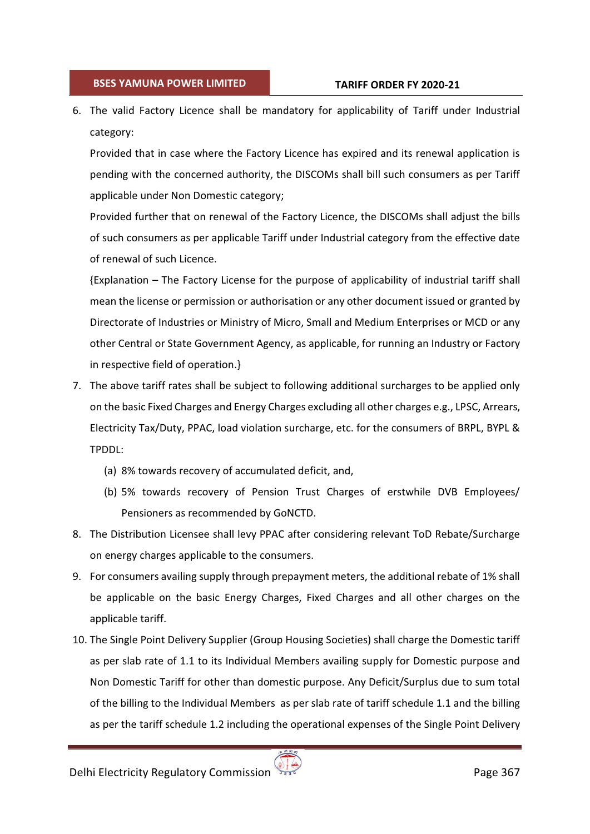6. The valid Factory Licence shall be mandatory for applicability of Tariff under Industrial category:

Provided that in case where the Factory Licence has expired and its renewal application is pending with the concerned authority, the DISCOMs shall bill such consumers as per Tariff applicable under Non Domestic category;

Provided further that on renewal of the Factory Licence, the DISCOMs shall adjust the bills of such consumers as per applicable Tariff under Industrial category from the effective date of renewal of such Licence.

{Explanation – The Factory License for the purpose of applicability of industrial tariff shall mean the license or permission or authorisation or any other document issued or granted by Directorate of Industries or Ministry of Micro, Small and Medium Enterprises or MCD or any other Central or State Government Agency, as applicable, for running an Industry or Factory in respective field of operation.}

- 7. The above tariff rates shall be subject to following additional surcharges to be applied only on the basic Fixed Charges and Energy Charges excluding all other charges e.g., LPSC, Arrears, Electricity Tax/Duty, PPAC, load violation surcharge, etc. for the consumers of BRPL, BYPL & TPDDL:
	- (a) 8% towards recovery of accumulated deficit, and,
	- (b) 5% towards recovery of Pension Trust Charges of erstwhile DVB Employees/ Pensioners as recommended by GoNCTD.
- 8. The Distribution Licensee shall levy PPAC after considering relevant ToD Rebate/Surcharge on energy charges applicable to the consumers.
- 9. For consumers availing supply through prepayment meters, the additional rebate of 1% shall be applicable on the basic Energy Charges, Fixed Charges and all other charges on the applicable tariff.
- 10. The Single Point Delivery Supplier (Group Housing Societies) shall charge the Domestic tariff as per slab rate of 1.1 to its Individual Members availing supply for Domestic purpose and Non Domestic Tariff for other than domestic purpose. Any Deficit/Surplus due to sum total of the billing to the Individual Members as per slab rate of tariff schedule 1.1 and the billing as per the tariff schedule 1.2 including the operational expenses of the Single Point Delivery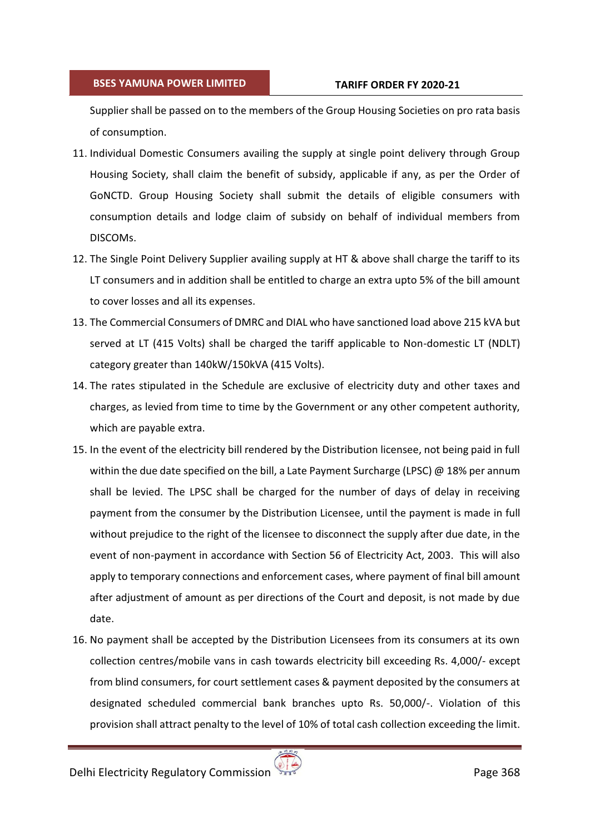Supplier shall be passed on to the members of the Group Housing Societies on pro rata basis of consumption.

- 11. Individual Domestic Consumers availing the supply at single point delivery through Group Housing Society, shall claim the benefit of subsidy, applicable if any, as per the Order of GoNCTD. Group Housing Society shall submit the details of eligible consumers with consumption details and lodge claim of subsidy on behalf of individual members from DISCOMs.
- 12. The Single Point Delivery Supplier availing supply at HT & above shall charge the tariff to its LT consumers and in addition shall be entitled to charge an extra upto 5% of the bill amount to cover losses and all its expenses.
- 13. The Commercial Consumers of DMRC and DIAL who have sanctioned load above 215 kVA but served at LT (415 Volts) shall be charged the tariff applicable to Non-domestic LT (NDLT) category greater than 140kW/150kVA (415 Volts).
- 14. The rates stipulated in the Schedule are exclusive of electricity duty and other taxes and charges, as levied from time to time by the Government or any other competent authority, which are payable extra.
- 15. In the event of the electricity bill rendered by the Distribution licensee, not being paid in full within the due date specified on the bill, a Late Payment Surcharge (LPSC) @ 18% per annum shall be levied. The LPSC shall be charged for the number of days of delay in receiving payment from the consumer by the Distribution Licensee, until the payment is made in full without prejudice to the right of the licensee to disconnect the supply after due date, in the event of non-payment in accordance with Section 56 of Electricity Act, 2003. This will also apply to temporary connections and enforcement cases, where payment of final bill amount after adjustment of amount as per directions of the Court and deposit, is not made by due date.
- 16. No payment shall be accepted by the Distribution Licensees from its consumers at its own collection centres/mobile vans in cash towards electricity bill exceeding Rs. 4,000/- except from blind consumers, for court settlement cases & payment deposited by the consumers at designated scheduled commercial bank branches upto Rs. 50,000/-. Violation of this provision shall attract penalty to the level of 10% of total cash collection exceeding the limit.

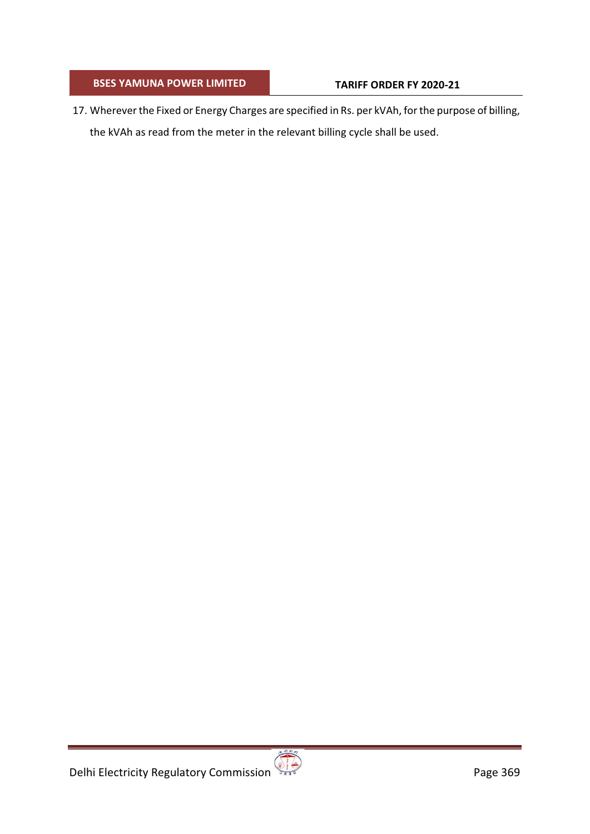17. Wherever the Fixed or Energy Charges are specified in Rs. per kVAh, for the purpose of billing, the kVAh as read from the meter in the relevant billing cycle shall be used.

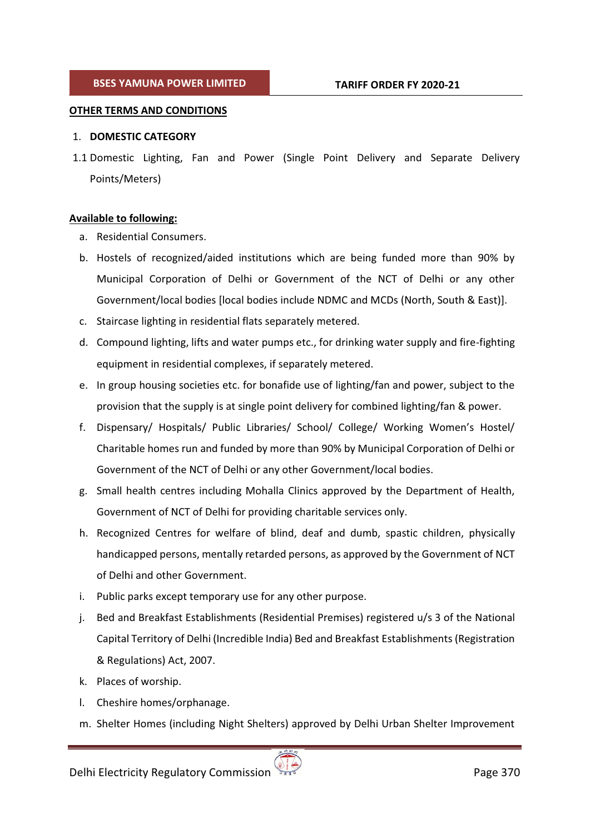### **OTHER TERMS AND CONDITIONS**

### 1. **DOMESTIC CATEGORY**

1.1 Domestic Lighting, Fan and Power (Single Point Delivery and Separate Delivery Points/Meters)

- **Available to following:**  a. Residential Consumers.
	- b. Hostels of recognized/aided institutions which are being funded more than 90% by Municipal Corporation of Delhi or Government of the NCT of Delhi or any other Government/local bodies [local bodies include NDMC and MCDs (North, South & East)].
	- c. Staircase lighting in residential flats separately metered.
	- d. Compound lighting, lifts and water pumps etc., for drinking water supply and fire-fighting equipment in residential complexes, if separately metered.
	- e. In group housing societies etc. for bonafide use of lighting/fan and power, subject to the provision that the supply is at single point delivery for combined lighting/fan & power.
	- f. Dispensary/ Hospitals/ Public Libraries/ School/ College/ Working Women's Hostel/ Charitable homes run and funded by more than 90% by Municipal Corporation of Delhi or Government of the NCT of Delhi or any other Government/local bodies.
	- g. Small health centres including Mohalla Clinics approved by the Department of Health, Government of NCT of Delhi for providing charitable services only.
	- h. Recognized Centres for welfare of blind, deaf and dumb, spastic children, physically handicapped persons, mentally retarded persons, as approved by the Government of NCT of Delhi and other Government.
	- i. Public parks except temporary use for any other purpose.
	- j. Bed and Breakfast Establishments (Residential Premises) registered u/s 3 of the National Capital Territory of Delhi (Incredible India) Bed and Breakfast Establishments (Registration & Regulations) Act, 2007.
	- k. Places of worship.
	- l. Cheshire homes/orphanage.
	- m. Shelter Homes (including Night Shelters) approved by Delhi Urban Shelter Improvement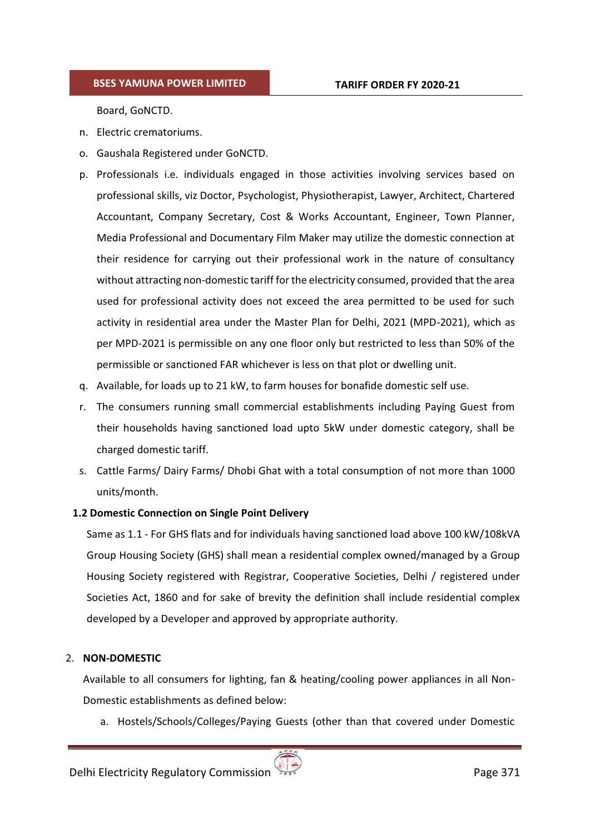Board, GoNCTD.

- n. Electric crematoriums.
- o. Gaushala Registered under GoNCTD.
- p. Professionals i.e. individuals engaged in those activities involving services based on professional skills, viz Doctor, Psychologist, Physiotherapist, Lawyer, Architect, Chartered Accountant, Company Secretary, Cost & Works Accountant, Engineer, Town Planner, Media Professional and Documentary Film Maker may utilize the domestic connection at their residence for carrying out their professional work in the nature of consultancy without attracting non-domestic tariff for the electricity consumed, provided that the area used for professional activity does not exceed the area permitted to be used for such activity in residential area under the Master Plan for Delhi, 2021 (MPD-2021), which as per MPD-2021 is permissible on any one floor only but restricted to less than 50% of the permissible or sanctioned FAR whichever is less on that plot or dwelling unit.
- q. Available, for loads up to 21 kW, to farm houses for bonafide domestic self use.
- r. The consumers running small commercial establishments including Paying Guest from their households having sanctioned load upto 5kW under domestic category, shall be charged domestic tariff.
- s. Cattle Farms/ Dairy Farms/ Dhobi Ghat with a total consumption of not more than 1000 units/month.

#### **1.2 Domestic Connection on Single Point Delivery**

Same as 1.1 - For GHS flats and for individuals having sanctioned load above 100 kW/108kVA Group Housing Society (GHS) shall mean a residential complex owned/managed by a Group Housing Society registered with Registrar, Cooperative Societies, Delhi / registered under Societies Act, 1860 and for sake of brevity the definition shall include residential complex developed by a Developer and approved by appropriate authority.

#### 2. **NON-DOMESTIC**

Available to all consumers for lighting, fan & heating/cooling power appliances in all Non-Domestic establishments as defined below:

a. Hostels/Schools/Colleges/Paying Guests (other than that covered under Domestic

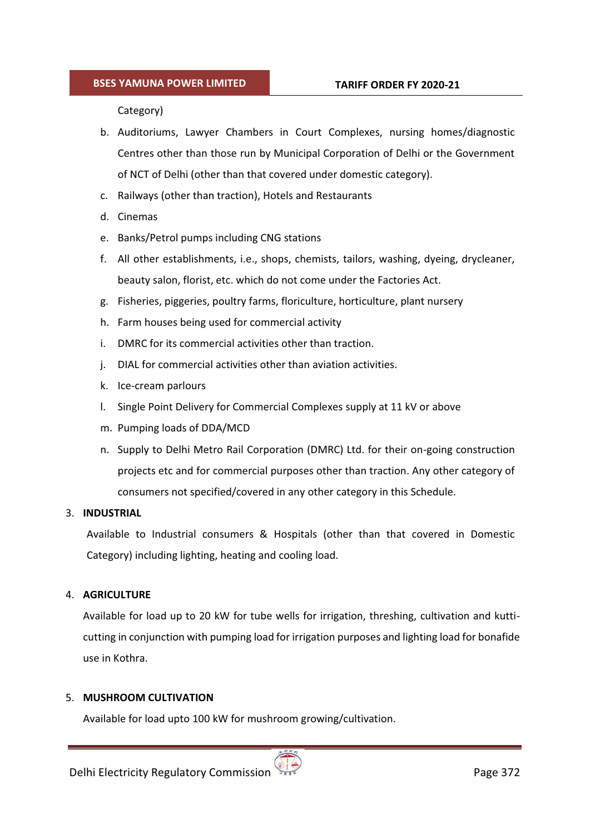Category)

- b. Auditoriums, Lawyer Chambers in Court Complexes, nursing homes/diagnostic Centres other than those run by Municipal Corporation of Delhi or the Government of NCT of Delhi (other than that covered under domestic category).
- c. Railways (other than traction), Hotels and Restaurants
- d. Cinemas
- e. Banks/Petrol pumps including CNG stations
- f. All other establishments, i.e., shops, chemists, tailors, washing, dyeing, drycleaner, beauty salon, florist, etc. which do not come under the Factories Act.
- g. Fisheries, piggeries, poultry farms, floriculture, horticulture, plant nursery
- h. Farm houses being used for commercial activity
- i. DMRC for its commercial activities other than traction.
- j. DIAL for commercial activities other than aviation activities.
- k. Ice-cream parlours
- l. Single Point Delivery for Commercial Complexes supply at 11 kV or above
- m. Pumping loads of DDA/MCD
- n. Supply to Delhi Metro Rail Corporation (DMRC) Ltd. for their on-going construction projects etc and for commercial purposes other than traction. Any other category of consumers not specified/covered in any other category in this Schedule.

#### 3. **INDUSTRIAL**

Available to Industrial consumers & Hospitals (other than that covered in Domestic Category) including lighting, heating and cooling load.

#### 4. **AGRICULTURE**

Available for load up to 20 kW for tube wells for irrigation, threshing, cultivation and kutticutting in conjunction with pumping load for irrigation purposes and lighting load for bonafide use in Kothra.

#### 5. **MUSHROOM CULTIVATION**

Available for load upto 100 kW for mushroom growing/cultivation.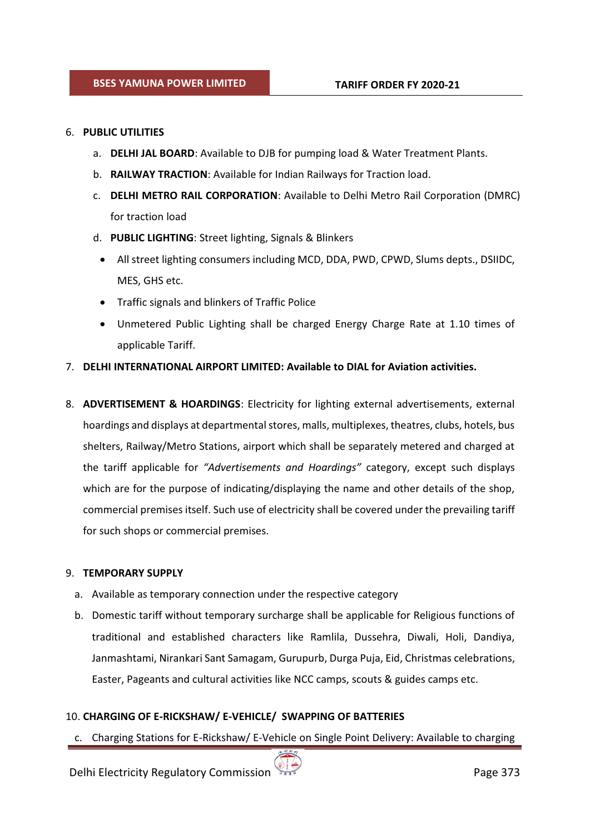### 6. **PUBLIC UTILITIES**

- a. **DELHI JAL BOARD**: Available to DJB for pumping load & Water Treatment Plants.
- b. **RAILWAY TRACTION**: Available for Indian Railways for Traction load.
- c. **DELHI METRO RAIL CORPORATION**: Available to Delhi Metro Rail Corporation (DMRC) for traction load
- d. **PUBLIC LIGHTING**: Street lighting, Signals & Blinkers
	- All street lighting consumers including MCD, DDA, PWD, CPWD, Slums depts., DSIIDC, MES, GHS etc.
	- Traffic signals and blinkers of Traffic Police
	- - Unmetered Public Lighting shall be charged Energy Charge Rate at 1.10 times of applicable Tariff.

# 7. **DELHI INTERNATIONAL AIRPORT LIMITED: Available to DIAL for Aviation activities.**

8. **ADVERTISEMENT & HOARDINGS**: Electricity for lighting external advertisements, external hoardings and displays at departmental stores, malls, multiplexes, theatres, clubs, hotels, bus shelters, Railway/Metro Stations, airport which shall be separately metered and charged at the tariff applicable for *"Advertisements and Hoardings"* category, except such displays which are for the purpose of indicating/displaying the name and other details of the shop, commercial premises itself. Such use of electricity shall be covered under the prevailing tariff for such shops or commercial premises.

# 9. **TEMPORARY SUPPLY**

- a. Available as temporary connection under the respective category
- b. Domestic tariff without temporary surcharge shall be applicable for Religious functions of traditional and established characters like Ramlila, Dussehra, Diwali, Holi, Dandiya, Janmashtami, Nirankari Sant Samagam, Gurupurb, Durga Puja, Eid, Christmas celebrations, Easter, Pageants and cultural activities like NCC camps, scouts & guides camps etc.

# 10. **CHARGING OF E-RICKSHAW/ E-VEHICLE/ SWAPPING OF BATTERIES**

c. Charging Stations for E-Rickshaw/ E-Vehicle on Single Point Delivery: Available to charging